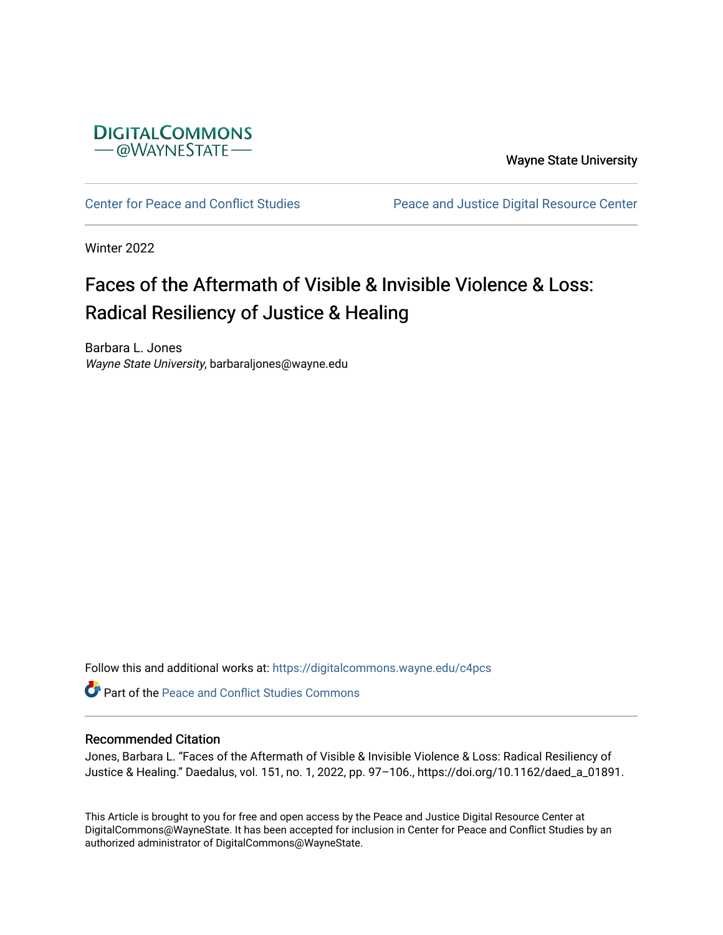

Wayne State University

[Center for Peace and Conflict Studies](https://digitalcommons.wayne.edu/c4pcs) Peace and Justice Digital Resource Center

Winter 2022

## Faces of the Aftermath of Visible & Invisible Violence & Loss: Radical Resiliency of Justice & Healing

Barbara L. Jones Wayne State University, barbaraljones@wayne.edu

Follow this and additional works at: [https://digitalcommons.wayne.edu/c4pcs](https://digitalcommons.wayne.edu/c4pcs?utm_source=digitalcommons.wayne.edu%2Fc4pcs%2F1&utm_medium=PDF&utm_campaign=PDFCoverPages)

Part of the [Peace and Conflict Studies Commons](https://network.bepress.com/hgg/discipline/397?utm_source=digitalcommons.wayne.edu%2Fc4pcs%2F1&utm_medium=PDF&utm_campaign=PDFCoverPages) 

### Recommended Citation

Jones, Barbara L. "Faces of the Aftermath of Visible & Invisible Violence & Loss: Radical Resiliency of Justice & Healing." Daedalus, vol. 151, no. 1, 2022, pp. 97–106., https://doi.org/10.1162/daed\_a\_01891.

This Article is brought to you for free and open access by the Peace and Justice Digital Resource Center at DigitalCommons@WayneState. It has been accepted for inclusion in Center for Peace and Conflict Studies by an authorized administrator of DigitalCommons@WayneState.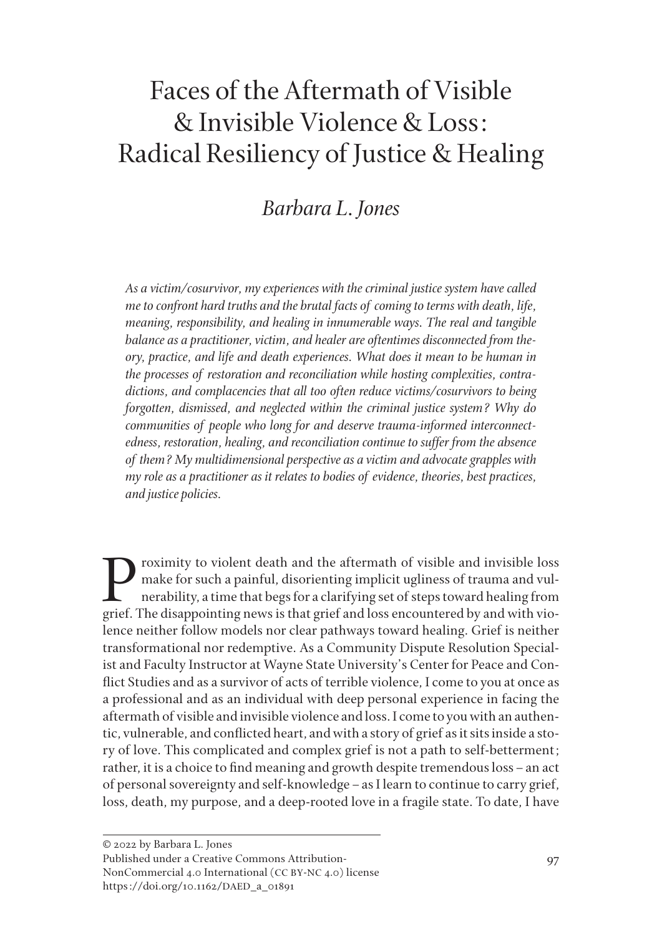# Faces of the Aftermath of Visible & Invisible Violence & Loss: Radical Resiliency of Justice & Healing

### *Barbara L. Jones*

*As a victim/cosurvivor, my experiences with the criminal justice system have called me to confront hard truths and the brutal facts of coming to terms with death, life, meaning, responsibility, and healing in innumerable ways. The real and tangible balance as a practitioner, victim, and healer are oftentimes disconnected from theory, practice, and life and death experiences. What does it mean to be human in the processes of restoration and reconciliation while hosting complexities, contradictions, and complacencies that all too often reduce victims/cosurvivors to being forgotten, dismissed, and neglected within the criminal justice system? Why do communities of people who long for and deserve trauma-informed interconnectedness, restoration, healing, and reconciliation continue to suffer from the absence of them? My multidimensional perspective as a victim and advocate grapples with my role as a practitioner as it relates to bodies of evidence, theories, best practices, and justice policies.* 

roximity to violent death and the aftermath of visible and invisible loss make for such a painful, disorienting implicit ugliness of trauma and vulnerability, a time that begs for a clarifying set of steps toward healing from grief. The disappointing news is that grief and loss encountered by and with violence neither follow models nor clear pathways toward healing. Grief is neither transformational nor redemptive. As a Community Dispute Resolution Specialist and Faculty Instructor at Wayne State University's Center for Peace and Conflict Studies and as a survivor of acts of terrible violence, I come to you at once as a professional and as an individual with deep personal experience in facing the aftermath of visible and invisible violence and loss. I come to you with an authentic, vulnerable, and conflicted heart, and with a story of grief as it sits inside a story of love. This complicated and complex grief is not a path to self-betterment; rather, it is a choice to find meaning and growth despite tremendous loss–an act of personal sovereignty and self-knowledge–as I learn to continue to carry grief, loss, death, my purpose, and a deep-rooted love in a fragile state. To date, I have

NonCommercial 4.0 International (CC BY-NC 4.0) license https://doi.org/10.1162/DAED\_a\_01891

<sup>© 2022</sup> by Barbara L. Jones

Published under a Creative Commons Attribution-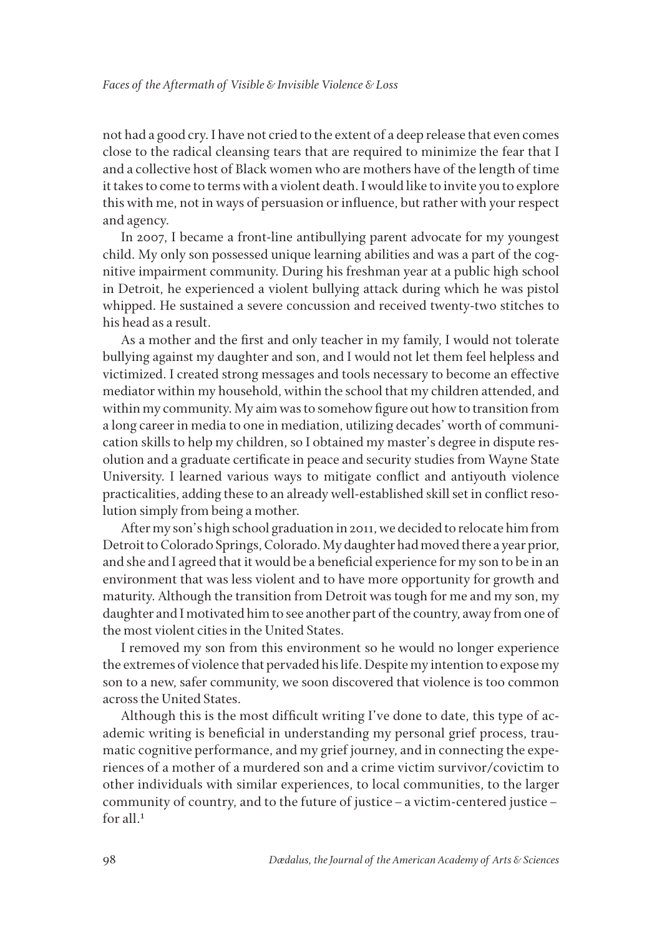not had a good cry. I have not cried to the extent of a deep release that even comes close to the radical cleansing tears that are required to minimize the fear that I and a collective host of Black women who are mothers have of the length of time it takes to come to terms with a violent death. I would like to invite you to explore this with me, not in ways of persuasion or influence, but rather with your respect and agency.

In 2007, I became a front-line antibullying parent advocate for my youngest child. My only son possessed unique learning abilities and was a part of the cognitive impairment community. During his freshman year at a public high school in Detroit, he experienced a violent bullying attack during which he was pistol whipped. He sustained a severe concussion and received twenty-two stitches to his head as a result.

As a mother and the first and only teacher in my family, I would not tolerate bullying against my daughter and son, and I would not let them feel helpless and victimized. I created strong messages and tools necessary to become an effective mediator within my household, within the school that my children attended, and within my community. My aim was to somehow figure out how to transition from a long career in media to one in mediation, utilizing decades' worth of communication skills to help my children, so I obtained my master's degree in dispute resolution and a graduate certificate in peace and security studies from Wayne State University. I learned various ways to mitigate conflict and antiyouth violence practicalities, adding these to an already well-established skill set in conflict resolution simply from being a mother.

After my son's high school graduation in 2011, we decided to relocate him from Detroit to Colorado Springs, Colorado. My daughter had moved there a year prior, and she and I agreed that it would be a beneficial experience for my son to be in an environment that was less violent and to have more opportunity for growth and maturity. Although the transition from Detroit was tough for me and my son, my daughter and I motivated him to see another part of the country, away from one of the most violent cities in the United States.

I removed my son from this environment so he would no longer experience the extremes of violence that pervaded his life. Despite my intention to expose my son to a new, safer community, we soon discovered that violence is too common across the United States.

Although this is the most difficult writing I've done to date, this type of academic writing is beneficial in understanding my personal grief process, traumatic cognitive performance, and my grief journey, and in connecting the experiences of a mother of a murdered son and a crime victim survivor/covictim to other individuals with similar experiences, to local communities, to the larger community of country, and to the future of justice–a victim-centered justice– for all.<sup>1</sup>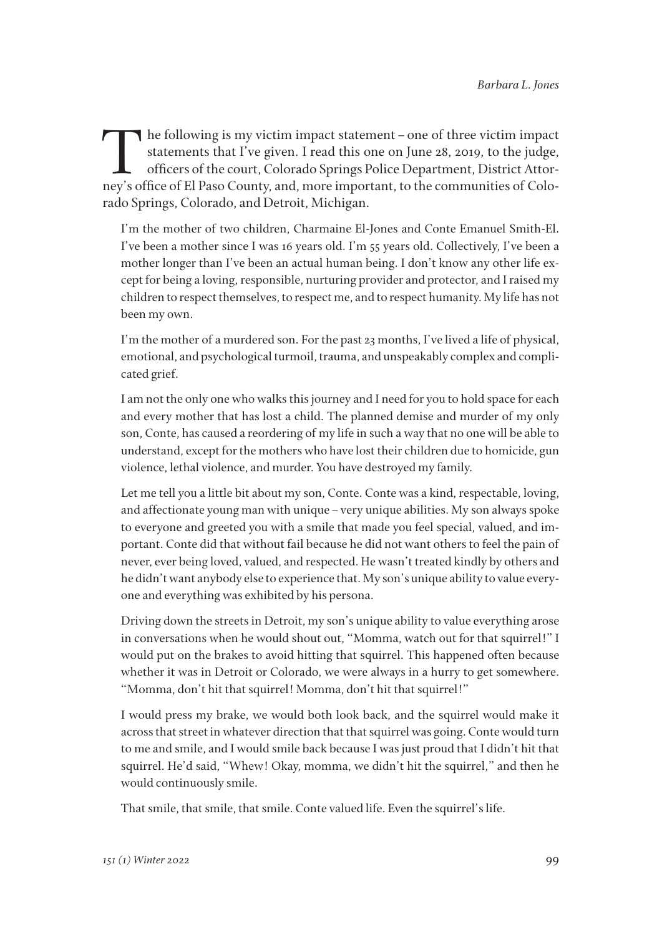The following is my victim impact statement – one of three victim impact<br>statements that I've given. I read this one on June 28, 2019, to the judge,<br>officers of the court, Colorado Springs Police Department, District Attor statements that I've given. I read this one on June 28, 2019, to the judge, officers of the court, Colorado Springs Police Department, District Attorney's office of El Paso County, and, more important, to the communities of Colorado Springs, Colorado, and Detroit, Michigan.

I'm the mother of two children, Charmaine El-Jones and Conte Emanuel Smith-El. I've been a mother since I was 16 years old. I'm 55 years old. Collectively, I've been a mother longer than I've been an actual human being. I don't know any other life except for being a loving, responsible, nurturing provider and protector, and I raised my children to respect themselves, to respect me, and to respect humanity. My life has not been my own.

I'm the mother of a murdered son. For the past 23 months, I've lived a life of physical, emotional, and psychological turmoil, trauma, and unspeakably complex and complicated grief.

I am not the only one who walks this journey and I need for you to hold space for each and every mother that has lost a child. The planned demise and murder of my only son, Conte, has caused a reordering of my life in such a way that no one will be able to understand, except for the mothers who have lost their children due to homicide, gun violence, lethal violence, and murder. You have destroyed my family.

Let me tell you a little bit about my son, Conte. Conte was a kind, respectable, loving, and affectionate young man with unique–very unique abilities. My son always spoke to everyone and greeted you with a smile that made you feel special, valued, and important. Conte did that without fail because he did not want others to feel the pain of never, ever being loved, valued, and respected. He wasn't treated kindly by others and he didn't want anybody else to experience that. My son's unique ability to value everyone and everything was exhibited by his persona.

Driving down the streets in Detroit, my son's unique ability to value everything arose in conversations when he would shout out, "Momma, watch out for that squirrel!" I would put on the brakes to avoid hitting that squirrel. This happened often because whether it was in Detroit or Colorado, we were always in a hurry to get somewhere. "Momma, don't hit that squirrel! Momma, don't hit that squirrel!"

I would press my brake, we would both look back, and the squirrel would make it across that street in whatever direction that that squirrel was going. Conte would turn to me and smile, and I would smile back because I was just proud that I didn't hit that squirrel. He'd said, "Whew! Okay, momma, we didn't hit the squirrel," and then he would continuously smile.

That smile, that smile, that smile. Conte valued life. Even the squirrel's life.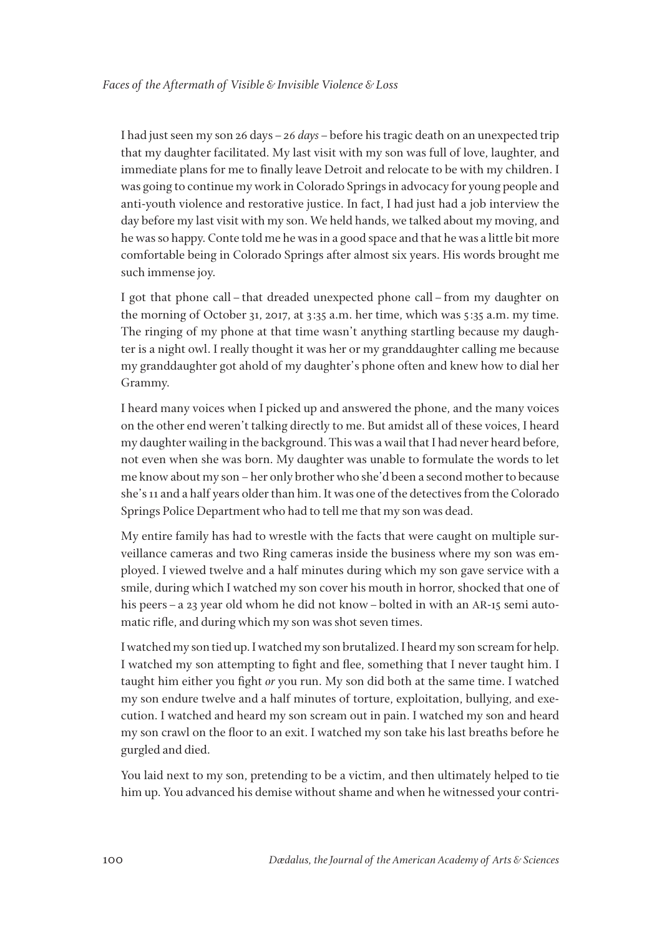I had just seen my son 26 days–*26 days*–before his tragic death on an unexpected trip that my daughter facilitated. My last visit with my son was full of love, laughter, and immediate plans for me to finally leave Detroit and relocate to be with my children. I was going to continue my work in Colorado Springs in advocacy for young people and anti-youth violence and restorative justice. In fact, I had just had a job interview the day before my last visit with my son. We held hands, we talked about my moving, and he was so happy. Conte told me he was in a good space and that he was a little bit more comfortable being in Colorado Springs after almost six years. His words brought me such immense joy.

I got that phone call–that dreaded unexpected phone call–from my daughter on the morning of October 31, 2017, at 3:35 a.m. her time, which was 5:35 a.m. my time. The ringing of my phone at that time wasn't anything startling because my daughter is a night owl. I really thought it was her or my granddaughter calling me because my granddaughter got ahold of my daughter's phone often and knew how to dial her Grammy.

I heard many voices when I picked up and answered the phone, and the many voices on the other end weren't talking directly to me. But amidst all of these voices, I heard my daughter wailing in the background. This was a wail that I had never heard before, not even when she was born. My daughter was unable to formulate the words to let me know about my son–her only brother who she'd been a second mother to because she's 11 and a half years older than him. It was one of the detectives from the Colorado Springs Police Department who had to tell me that my son was dead.

My entire family has had to wrestle with the facts that were caught on multiple surveillance cameras and two Ring cameras inside the business where my son was employed. I viewed twelve and a half minutes during which my son gave service with a smile, during which I watched my son cover his mouth in horror, shocked that one of his peers – a 23 year old whom he did not know – bolted in with an AR-15 semi automatic rifle, and during which my son was shot seven times.

I watched my son tied up. I watched my son brutalized. I heard my son scream for help. I watched my son attempting to fight and flee, something that I never taught him. I taught him either you fight *or* you run. My son did both at the same time. I watched my son endure twelve and a half minutes of torture, exploitation, bullying, and execution. I watched and heard my son scream out in pain. I watched my son and heard my son crawl on the floor to an exit. I watched my son take his last breaths before he gurgled and died.

You laid next to my son, pretending to be a victim, and then ultimately helped to tie him up. You advanced his demise without shame and when he witnessed your contri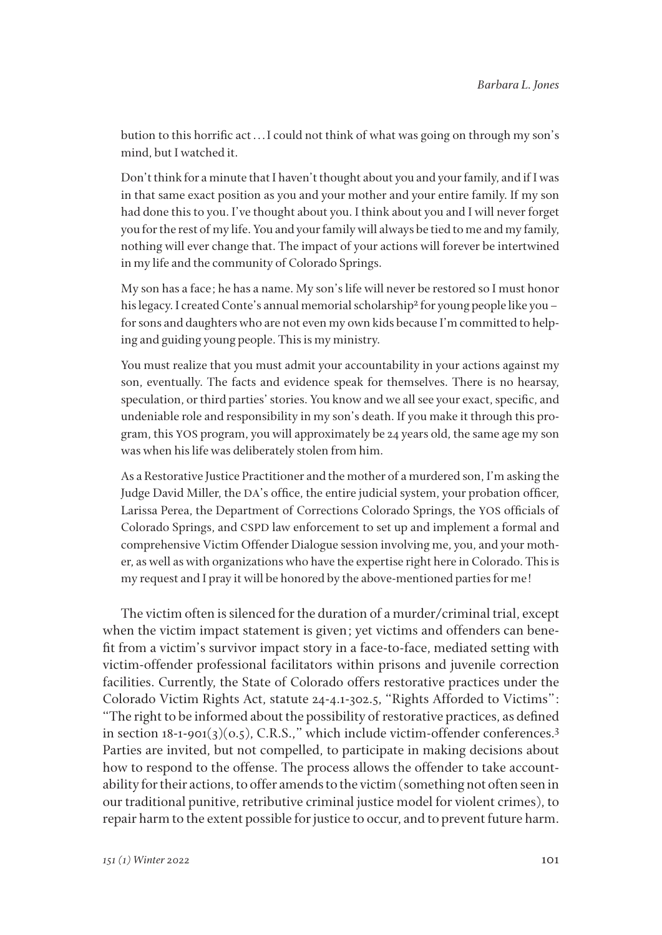bution to this horrific act . . . I could not think of what was going on through my son's mind, but I watched it.

Don't think for a minute that I haven't thought about you and your family, and if I was in that same exact position as you and your mother and your entire family. If my son had done this to you. I've thought about you. I think about you and I will never forget you for the rest of my life. You and your family will always be tied to me and my family, nothing will ever change that. The impact of your actions will forever be intertwined in my life and the community of Colorado Springs.

My son has a face; he has a name. My son's life will never be restored so I must honor his legacy. I created Conte's annual memorial scholarship<sup>2</sup> for young people like you – for sons and daughters who are not even my own kids because I'm committed to helping and guiding young people. This is my ministry.

You must realize that you must admit your accountability in your actions against my son, eventually. The facts and evidence speak for themselves. There is no hearsay, speculation, or third parties' stories. You know and we all see your exact, specific, and undeniable role and responsibility in my son's death. If you make it through this program, this YOS program, you will approximately be 24 years old, the same age my son was when his life was deliberately stolen from him.

As a Restorative Justice Practitioner and the mother of a murdered son, I'm asking the Judge David Miller, the DA's office, the entire judicial system, your probation officer, Larissa Perea, the Department of Corrections Colorado Springs, the YOS officials of Colorado Springs, and CSPD law enforcement to set up and implement a formal and comprehensive Victim Offender Dialogue session involving me, you, and your mother, as well as with organizations who have the expertise right here in Colorado. This is my request and I pray it will be honored by the above-mentioned parties for me!

The victim often is silenced for the duration of a murder/criminal trial, except when the victim impact statement is given; yet victims and offenders can benefit from a victim's survivor impact story in a face-to-face, mediated setting with victim-offender professional facilitators within prisons and juvenile correction facilities. Currently, the State of Colorado offers restorative practices under the Colorado Victim Rights Act, statute 24-4.1-302.5, "Rights Afforded to Victims": "The right to be informed about the possibility of restorative practices, as defined in section  $18-1-901(3)(0.5)$ , C.R.S.," which include victim-offender conferences.<sup>3</sup> Parties are invited, but not compelled, to participate in making decisions about how to respond to the offense. The process allows the offender to take accountability for their actions, to offer amends to the victim (something not often seen in our traditional punitive, retributive criminal justice model for violent crimes), to repair harm to the extent possible for justice to occur, and to prevent future harm.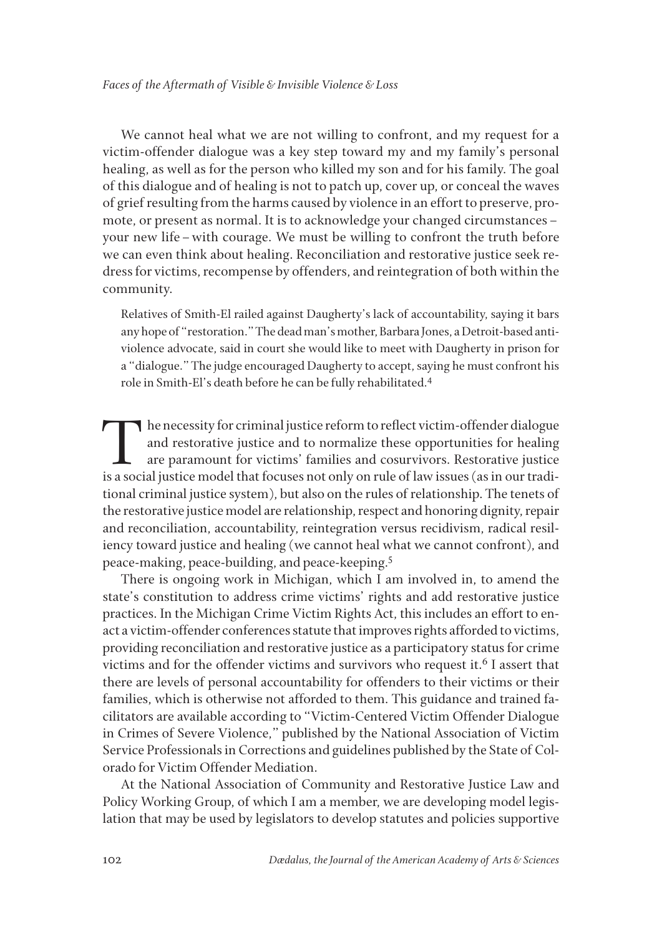We cannot heal what we are not willing to confront, and my request for a victim-offender dialogue was a key step toward my and my family's personal healing, as well as for the person who killed my son and for his family. The goal of this dialogue and of healing is not to patch up, cover up, or conceal the waves of grief resulting from the harms caused by violence in an effort to preserve, promote, or present as normal. It is to acknowledge your changed circumstances– your new life–with courage. We must be willing to confront the truth before we can even think about healing. Reconciliation and restorative justice seek redress for victims, recompense by offenders, and reintegration of both within the community.

Relatives of Smith-El railed against Daugherty's lack of accountability, saying it bars any hope of "restoration." The dead man's mother, Barbara Jones, a Detroit-based antiviolence advocate, said in court she would like to meet with Daugherty in prison for a "dialogue." The judge encouraged Daugherty to accept, saying he must confront his role in Smith-El's death before he can be fully rehabilitated.<sup>4</sup>

The necessity for criminal justice reform to reflect victim-offender dialogue and restorative justice and to normalize these opportunities for healing are paramount for victims' families and cosurvivors. Restorative justice is a social justice model that focuses not only on rule of law issues (as in our traditional criminal justice system), but also on the rules of relationship. The tenets of the restorative justice model are relationship, respect and honoring dignity, repair and reconciliation, accountability, reintegration versus recidivism, radical resiliency toward justice and healing (we cannot heal what we cannot confront), and peace-making, peace-building, and peace-keeping.5

There is ongoing work in Michigan, which I am involved in, to amend the state's constitution to address crime victims' rights and add restorative justice practices. In the Michigan Crime Victim Rights Act, this includes an effort to enact a victim-offender conferences statute that improves rights afforded to victims, providing reconciliation and restorative justice as a participatory status for crime victims and for the offender victims and survivors who request it.<sup>6</sup> I assert that there are levels of personal accountability for offenders to their victims or their families, which is otherwise not afforded to them. This guidance and trained facilitators are available according to "Victim-Centered Victim Offender Dialogue in Crimes of Severe Violence," published by the National Association of Victim Service Professionals in Corrections and guidelines published by the State of Colorado for Victim Offender Mediation.

At the National Association of Community and Restorative Justice Law and Policy Working Group, of which I am a member, we are developing model legislation that may be used by legislators to develop statutes and policies supportive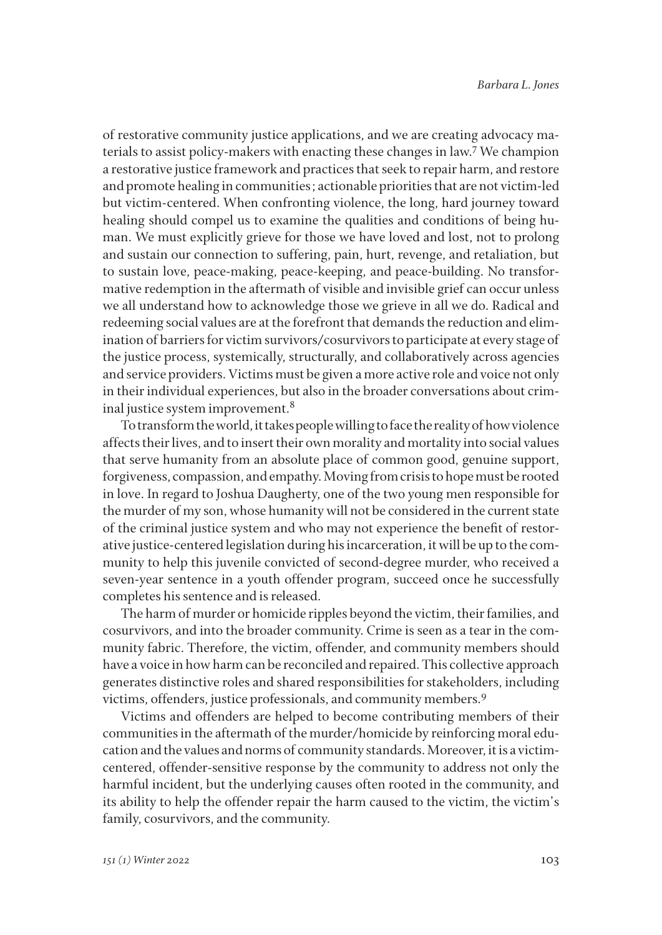of restorative community justice applications, and we are creating advocacy materials to assist policy-makers with enacting these changes in law.<sup>7</sup> We champion a restorative justice framework and practices that seek to repair harm, and restore and promote healing in communities; actionable priorities that are not victim-led but victim-centered. When confronting violence, the long, hard journey toward healing should compel us to examine the qualities and conditions of being human. We must explicitly grieve for those we have loved and lost, not to prolong and sustain our connection to suffering, pain, hurt, revenge, and retaliation, but to sustain love, peace-making, peace-keeping, and peace-building. No transformative redemption in the aftermath of visible and invisible grief can occur unless we all understand how to acknowledge those we grieve in all we do. Radical and redeeming social values are at the forefront that demands the reduction and elimination of barriers for victim survivors/cosurvivors to participate at every stage of the justice process, systemically, structurally, and collaboratively across agencies and service providers. Victims must be given a more active role and voice not only in their individual experiences, but also in the broader conversations about criminal justice system improvement.8

To transform the world, it takes people willing to face the reality of how violence affects their lives, and to insert their own morality and mortality into social values that serve humanity from an absolute place of common good, genuine support, forgiveness, compassion, and empathy. Moving from crisis to hope must be rooted in love. In regard to Joshua Daugherty, one of the two young men responsible for the murder of my son, whose humanity will not be considered in the current state of the criminal justice system and who may not experience the benefit of restorative justice-centered legislation during his incarceration, it will be up to the community to help this juvenile convicted of second-degree murder, who received a seven-year sentence in a youth offender program, succeed once he successfully completes his sentence and is released.

The harm of murder or homicide ripples beyond the victim, their families, and cosurvivors, and into the broader community. Crime is seen as a tear in the community fabric. Therefore, the victim, offender, and community members should have a voice in how harm can be reconciled and repaired. This collective approach generates distinctive roles and shared responsibilities for stakeholders, including victims, offenders, justice professionals, and community members.9

Victims and offenders are helped to become contributing members of their communities in the aftermath of the murder/homicide by reinforcing moral education and the values and norms of community standards. Moreover, it is a victimcentered, offender-sensitive response by the community to address not only the harmful incident, but the underlying causes often rooted in the community, and its ability to help the offender repair the harm caused to the victim, the victim's family, cosurvivors, and the community.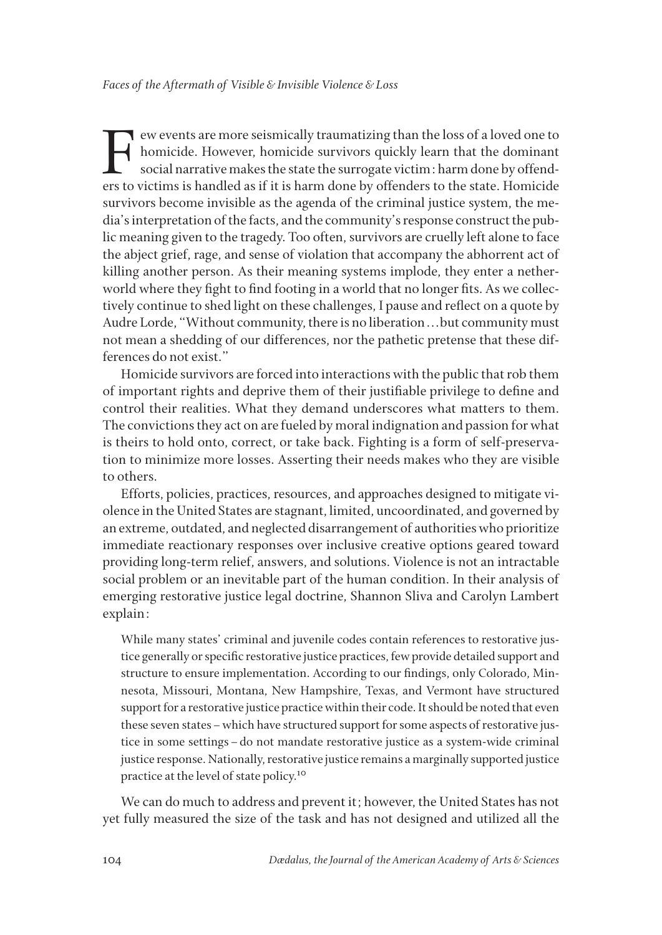Few events are more seismically traumatizing than the loss of a loved one to<br>homicide. However, homicide survivors quickly learn that the dominant<br>social narrative makes the state the surrogate victim: harm done by offendhomicide. However, homicide survivors quickly learn that the dominant social narrative makes the state the surrogate victim: harm done by offenders to victims is handled as if it is harm done by offenders to the state. Homicide survivors become invisible as the agenda of the criminal justice system, the media's interpretation of the facts, and the community's response construct the public meaning given to the tragedy. Too often, survivors are cruelly left alone to face the abject grief, rage, and sense of violation that accompany the abhorrent act of killing another person. As their meaning systems implode, they enter a netherworld where they fight to find footing in a world that no longer fits. As we collectively continue to shed light on these challenges, I pause and reflect on a quote by Audre Lorde, "Without community, there is no liberation . . . but community must not mean a shedding of our differences, nor the pathetic pretense that these differences do not exist."

Homicide survivors are forced into interactions with the public that rob them of important rights and deprive them of their justifiable privilege to define and control their realities. What they demand underscores what matters to them. The convictions they act on are fueled by moral indignation and passion for what is theirs to hold onto, correct, or take back. Fighting is a form of self-preservation to minimize more losses. Asserting their needs makes who they are visible to others.

Efforts, policies, practices, resources, and approaches designed to mitigate violence in the United States are stagnant, limited, uncoordinated, and governed by an extreme, outdated, and neglected disarrangement of authorities who prioritize immediate reactionary responses over inclusive creative options geared toward providing long-term relief, answers, and solutions. Violence is not an intractable social problem or an inevitable part of the human condition. In their analysis of emerging restorative justice legal doctrine, Shannon Sliva and Carolyn Lambert explain:

While many states' criminal and juvenile codes contain references to restorative justice generally or specific restorative justice practices, few provide detailed support and structure to ensure implementation. According to our findings, only Colorado, Minnesota, Missouri, Montana, New Hampshire, Texas, and Vermont have structured support for a restorative justice practice within their code. It should be noted that even these seven states–which have structured support for some aspects of restorative justice in some settings–do not mandate restorative justice as a system-wide criminal justice response. Nationally, restorative justice remains a marginally supported justice practice at the level of state policy.<sup>10</sup>

We can do much to address and prevent it; however, the United States has not yet fully measured the size of the task and has not designed and utilized all the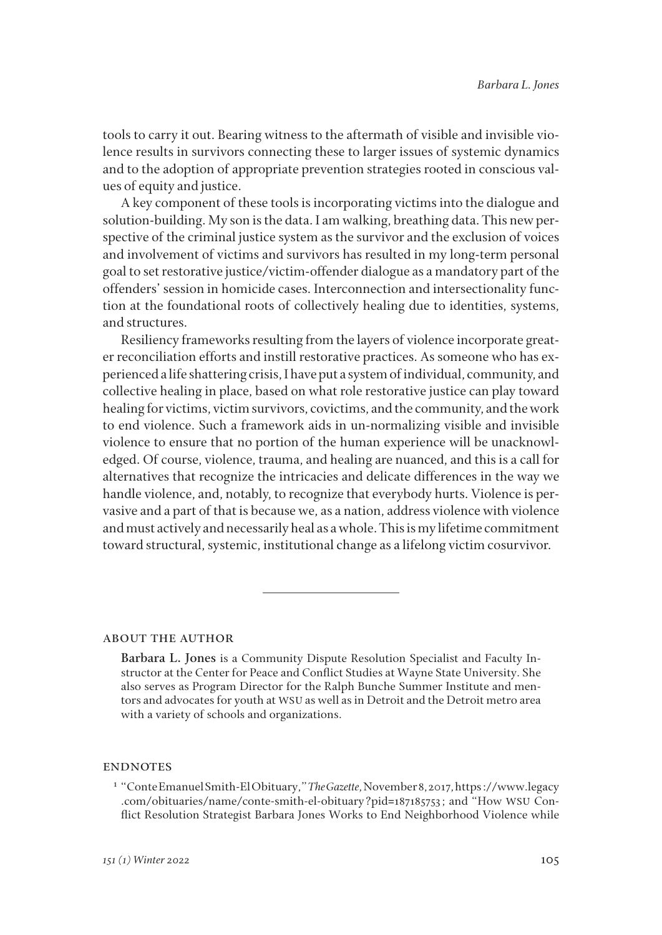tools to carry it out. Bearing witness to the aftermath of visible and invisible violence results in survivors connecting these to larger issues of systemic dynamics and to the adoption of appropriate prevention strategies rooted in conscious values of equity and justice.

A key component of these tools is incorporating victims into the dialogue and solution-building. My son is the data. I am walking, breathing data. This new perspective of the criminal justice system as the survivor and the exclusion of voices and involvement of victims and survivors has resulted in my long-term personal goal to set restorative justice/victim-offender dialogue as a mandatory part of the offenders' session in homicide cases. Interconnection and intersectionality function at the foundational roots of collectively healing due to identities, systems, and structures.

Resiliency frameworks resulting from the layers of violence incorporate greater reconciliation efforts and instill restorative practices. As someone who has experienced a life shattering crisis, I have put a system of individual, community, and collective healing in place, based on what role restorative justice can play toward healing for victims, victim survivors, covictims, and the community, and the work to end violence. Such a framework aids in un-normalizing visible and invisible violence to ensure that no portion of the human experience will be unacknowledged. Of course, violence, trauma, and healing are nuanced, and this is a call for alternatives that recognize the intricacies and delicate differences in the way we handle violence, and, notably, to recognize that everybody hurts. Violence is pervasive and a part of that is because we, as a nation, address violence with violence and must actively and necessarily heal as a whole. This is my lifetime commitment toward structural, systemic, institutional change as a lifelong victim cosurvivor.

#### about the author

**Barbara L. Jones** is a Community Dispute Resolution Specialist and Faculty Instructor at the Center for Peace and Conflict Studies at Wayne State University. She also serves as Program Director for the Ralph Bunche Summer Institute and mentors and advocates for youth at WSU as well as in Detroit and the Detroit metro area with a variety of schools and organizations.

### **ENDNOTES**

<sup>1</sup> "Conte Emanuel Smith-El Obituary," *The Gazette,* November 8, 2017, https://www.legacy .com/obituaries/name/conte-smith-el-obituary?pid=187185753; and "How WSU Conflict Resolution Strategist Barbara Jones Works to End Neighborhood Violence while